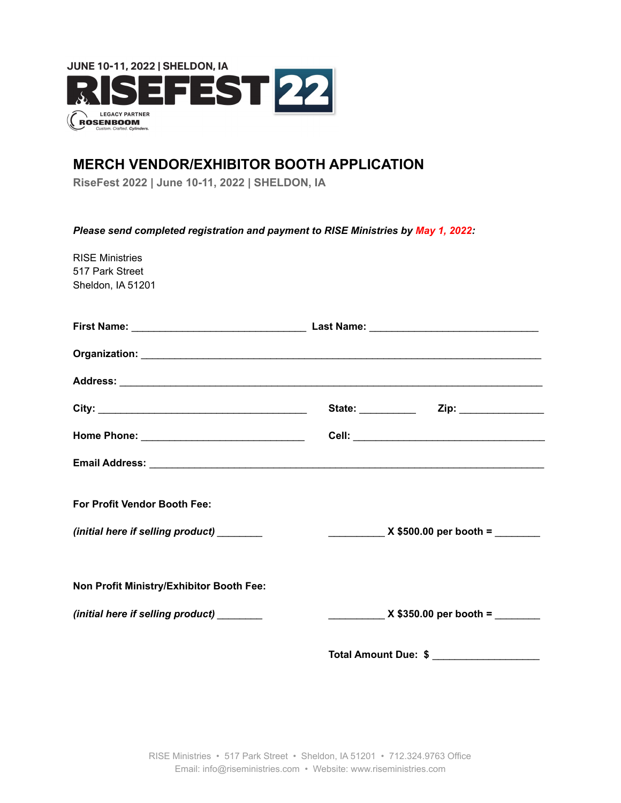

# **MERCH VENDOR/EXHIBITOR BOOTH APPLICATION**

**RiseFest 2022 | June 10-11, 2022 | SHELDON, IA**

*Please send completed registration and payment to RISE Ministries by May 1, 2022:*

| <b>RISE Ministries</b><br>517 Park Street<br>Sheldon, IA 51201 |                                              |
|----------------------------------------------------------------|----------------------------------------------|
|                                                                |                                              |
|                                                                |                                              |
|                                                                |                                              |
|                                                                |                                              |
|                                                                |                                              |
|                                                                |                                              |
| <b>For Profit Vendor Booth Fee:</b>                            |                                              |
| (initial here if selling product) _______                      | $\frac{1}{2}$ X \$500.00 per booth =         |
| Non Profit Ministry/Exhibitor Booth Fee:                       |                                              |
| (initial here if selling product) ______                       | $\frac{1}{2}$ X \$350.00 per booth = _______ |
|                                                                | Total Amount Due: \$ _______________________ |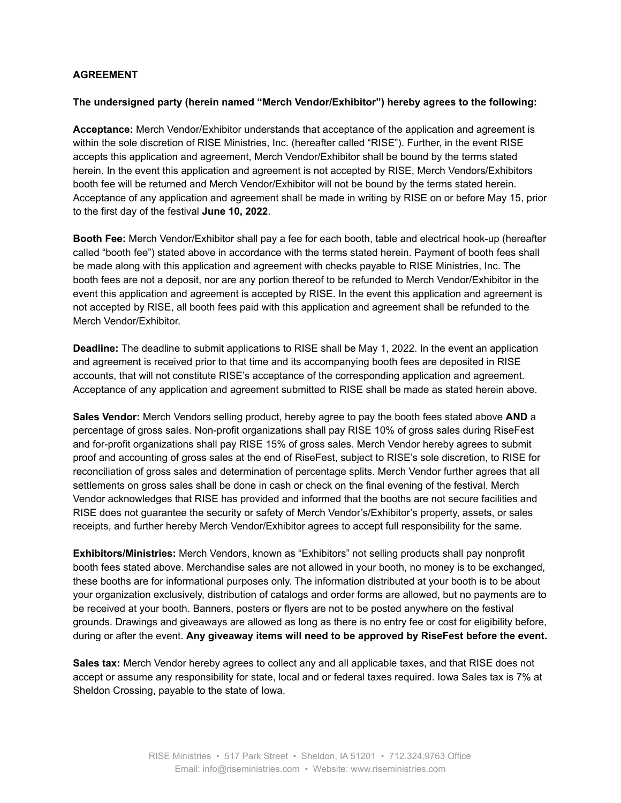## **AGREEMENT**

#### **The undersigned party (herein named "Merch Vendor/Exhibitor") hereby agrees to the following:**

**Acceptance:** Merch Vendor/Exhibitor understands that acceptance of the application and agreement is within the sole discretion of RISE Ministries, Inc. (hereafter called "RISE"). Further, in the event RISE accepts this application and agreement, Merch Vendor/Exhibitor shall be bound by the terms stated herein. In the event this application and agreement is not accepted by RISE, Merch Vendors/Exhibitors booth fee will be returned and Merch Vendor/Exhibitor will not be bound by the terms stated herein. Acceptance of any application and agreement shall be made in writing by RISE on or before May 15, prior to the first day of the festival **June 10, 2022**.

**Booth Fee:** Merch Vendor/Exhibitor shall pay a fee for each booth, table and electrical hook-up (hereafter called "booth fee") stated above in accordance with the terms stated herein. Payment of booth fees shall be made along with this application and agreement with checks payable to RISE Ministries, Inc. The booth fees are not a deposit, nor are any portion thereof to be refunded to Merch Vendor/Exhibitor in the event this application and agreement is accepted by RISE. In the event this application and agreement is not accepted by RISE, all booth fees paid with this application and agreement shall be refunded to the Merch Vendor/Exhibitor.

**Deadline:** The deadline to submit applications to RISE shall be May 1, 2022. In the event an application and agreement is received prior to that time and its accompanying booth fees are deposited in RISE accounts, that will not constitute RISE's acceptance of the corresponding application and agreement. Acceptance of any application and agreement submitted to RISE shall be made as stated herein above.

**Sales Vendor:** Merch Vendors selling product, hereby agree to pay the booth fees stated above **AND** a percentage of gross sales. Non-profit organizations shall pay RISE 10% of gross sales during RiseFest and for-profit organizations shall pay RISE 15% of gross sales. Merch Vendor hereby agrees to submit proof and accounting of gross sales at the end of RiseFest, subject to RISE's sole discretion, to RISE for reconciliation of gross sales and determination of percentage splits. Merch Vendor further agrees that all settlements on gross sales shall be done in cash or check on the final evening of the festival. Merch Vendor acknowledges that RISE has provided and informed that the booths are not secure facilities and RISE does not guarantee the security or safety of Merch Vendor's/Exhibitor's property, assets, or sales receipts, and further hereby Merch Vendor/Exhibitor agrees to accept full responsibility for the same.

**Exhibitors/Ministries:** Merch Vendors, known as "Exhibitors" not selling products shall pay nonprofit booth fees stated above. Merchandise sales are not allowed in your booth, no money is to be exchanged, these booths are for informational purposes only. The information distributed at your booth is to be about your organization exclusively, distribution of catalogs and order forms are allowed, but no payments are to be received at your booth. Banners, posters or flyers are not to be posted anywhere on the festival grounds. Drawings and giveaways are allowed as long as there is no entry fee or cost for eligibility before, during or after the event. **Any giveaway items will need to be approved by RiseFest before the event.**

**Sales tax:** Merch Vendor hereby agrees to collect any and all applicable taxes, and that RISE does not accept or assume any responsibility for state, local and or federal taxes required. Iowa Sales tax is 7% at Sheldon Crossing, payable to the state of Iowa.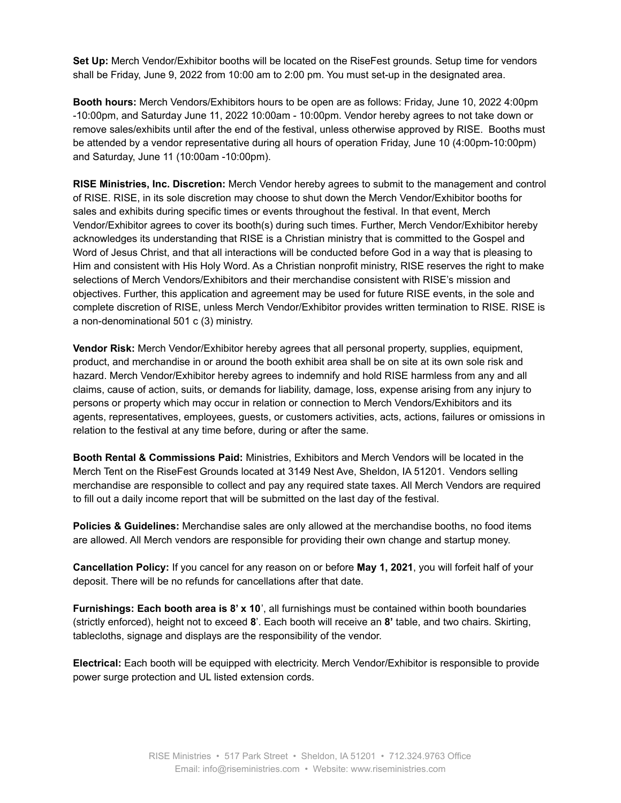**Set Up:** Merch Vendor/Exhibitor booths will be located on the RiseFest grounds. Setup time for vendors shall be Friday, June 9, 2022 from 10:00 am to 2:00 pm. You must set-up in the designated area.

**Booth hours:** Merch Vendors/Exhibitors hours to be open are as follows: Friday, June 10, 2022 4:00pm -10:00pm, and Saturday June 11, 2022 10:00am - 10:00pm. Vendor hereby agrees to not take down or remove sales/exhibits until after the end of the festival, unless otherwise approved by RISE. Booths must be attended by a vendor representative during all hours of operation Friday, June 10 (4:00pm-10:00pm) and Saturday, June 11 (10:00am -10:00pm).

**RISE Ministries, Inc. Discretion:** Merch Vendor hereby agrees to submit to the management and control of RISE. RISE, in its sole discretion may choose to shut down the Merch Vendor/Exhibitor booths for sales and exhibits during specific times or events throughout the festival. In that event, Merch Vendor/Exhibitor agrees to cover its booth(s) during such times. Further, Merch Vendor/Exhibitor hereby acknowledges its understanding that RISE is a Christian ministry that is committed to the Gospel and Word of Jesus Christ, and that all interactions will be conducted before God in a way that is pleasing to Him and consistent with His Holy Word. As a Christian nonprofit ministry, RISE reserves the right to make selections of Merch Vendors/Exhibitors and their merchandise consistent with RISE's mission and objectives. Further, this application and agreement may be used for future RISE events, in the sole and complete discretion of RISE, unless Merch Vendor/Exhibitor provides written termination to RISE. RISE is a non-denominational 501 c (3) ministry.

**Vendor Risk:** Merch Vendor/Exhibitor hereby agrees that all personal property, supplies, equipment, product, and merchandise in or around the booth exhibit area shall be on site at its own sole risk and hazard. Merch Vendor/Exhibitor hereby agrees to indemnify and hold RISE harmless from any and all claims, cause of action, suits, or demands for liability, damage, loss, expense arising from any injury to persons or property which may occur in relation or connection to Merch Vendors/Exhibitors and its agents, representatives, employees, guests, or customers activities, acts, actions, failures or omissions in relation to the festival at any time before, during or after the same.

**Booth Rental & Commissions Paid:** Ministries, Exhibitors and Merch Vendors will be located in the Merch Tent on the RiseFest Grounds located at 3149 Nest Ave, Sheldon, IA 51201. Vendors selling merchandise are responsible to collect and pay any required state taxes. All Merch Vendors are required to fill out a daily income report that will be submitted on the last day of the festival.

**Policies & Guidelines:** Merchandise sales are only allowed at the merchandise booths, no food items are allowed. All Merch vendors are responsible for providing their own change and startup money.

**Cancellation Policy:** If you cancel for any reason on or before **May 1, 2021**, you will forfeit half of your deposit. There will be no refunds for cancellations after that date.

**Furnishings: Each booth area is 8' x 10**', all furnishings must be contained within booth boundaries (strictly enforced), height not to exceed **8**'. Each booth will receive an **8'** table, and two chairs. Skirting, tablecloths, signage and displays are the responsibility of the vendor.

**Electrical:** Each booth will be equipped with electricity. Merch Vendor/Exhibitor is responsible to provide power surge protection and UL listed extension cords.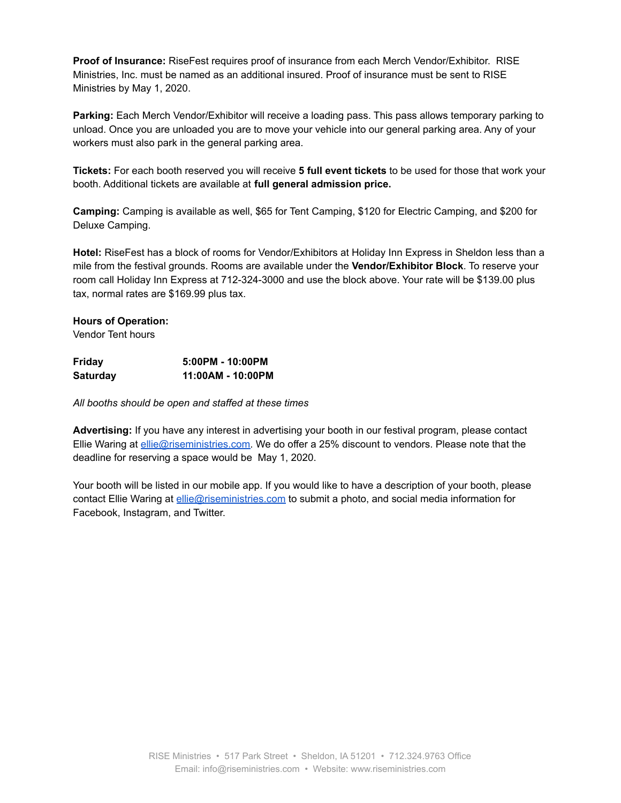**Proof of Insurance:** RiseFest requires proof of insurance from each Merch Vendor/Exhibitor. RISE Ministries, Inc. must be named as an additional insured. Proof of insurance must be sent to RISE Ministries by May 1, 2020.

**Parking:** Each Merch Vendor/Exhibitor will receive a loading pass. This pass allows temporary parking to unload. Once you are unloaded you are to move your vehicle into our general parking area. Any of your workers must also park in the general parking area.

**Tickets:** For each booth reserved you will receive **5 full event tickets** to be used for those that work your booth. Additional tickets are available at **full general admission price.**

**Camping:** Camping is available as well, \$65 for Tent Camping, \$120 for Electric Camping, and \$200 for Deluxe Camping.

**Hotel:** RiseFest has a block of rooms for Vendor/Exhibitors at Holiday Inn Express in Sheldon less than a mile from the festival grounds. Rooms are available under the **Vendor/Exhibitor Block**. To reserve your room call Holiday Inn Express at 712-324-3000 and use the block above. Your rate will be \$139.00 plus tax, normal rates are \$169.99 plus tax.

## **Hours of Operation:**

Vendor Tent hours

| Friday   | 5:00PM - 10:00PM  |
|----------|-------------------|
| Saturday | 11:00AM - 10:00PM |

*All booths should be open and staffed at these times*

**Advertising:** If you have any interest in advertising your booth in our festival program, please contact Ellie Waring at [ellie@riseministries.com.](mailto:ellie@riseministries.com) We do offer a 25% discount to vendors. Please note that the deadline for reserving a space would be May 1, 2020.

Your booth will be listed in our mobile app. If you would like to have a description of your booth, please contact Ellie Waring at [ellie@riseministries.com](mailto:ellie@riseministries.com) to submit a photo, and social media information for Facebook, Instagram, and Twitter.